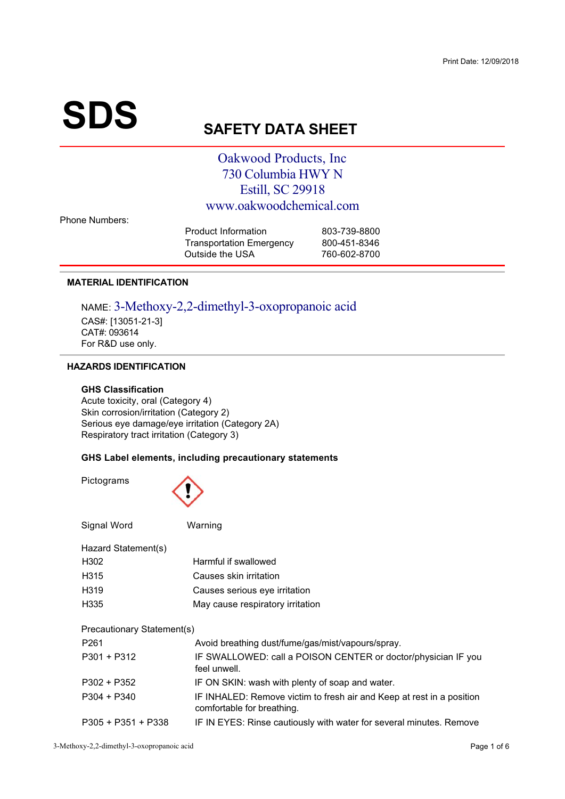# **SDS**

# **SAFETY DATA SHEET**

## Oakwood Products, Inc. 730 Columbia HWY N **Estill, SC 29918** www.oakwoodchemical.com

**Phone Numbers:** 

| 803-739-8800 |
|--------------|
| 800-451-8346 |
| 760-602-8700 |
|              |

## **MATERIAL IDENTIFICATION**

NAME: 3-Methoxy-2,2-dimethyl-3-oxopropanoic acid CAS#: [13051-21-3] CAT#: 093614 For R&D use only.

## **HAZARDS IDENTIFICATION**

## **GHS Classification**

Acute toxicity, oral (Category 4) Skin corrosion/irritation (Category 2) Serious eye damage/eye irritation (Category 2A) Respiratory tract irritation (Category 3)

## GHS Label elements, including precautionary statements

Pictograms



| Signal Word                | Warning                                                                                             |  |  |  |
|----------------------------|-----------------------------------------------------------------------------------------------------|--|--|--|
| Hazard Statement(s)        |                                                                                                     |  |  |  |
| H302                       | Harmful if swallowed                                                                                |  |  |  |
| H315                       | Causes skin irritation                                                                              |  |  |  |
| H319                       | Causes serious eye irritation                                                                       |  |  |  |
| H <sub>335</sub>           | May cause respiratory irritation                                                                    |  |  |  |
| Precautionary Statement(s) |                                                                                                     |  |  |  |
| P <sub>261</sub>           | Avoid breathing dust/fume/gas/mist/vapours/spray.                                                   |  |  |  |
| $P301 + P312$              | IF SWALLOWED: call a POISON CENTER or doctor/physician IF you<br>feel unwell.                       |  |  |  |
| $P302 + P352$              | IF ON SKIN: wash with plenty of soap and water.                                                     |  |  |  |
| $P304 + P340$              | IF INHALED: Remove victim to fresh air and Keep at rest in a position<br>comfortable for breathing. |  |  |  |
| $P305 + P351 + P338$       | IF IN EYES: Rinse cautiously with water for several minutes. Remove                                 |  |  |  |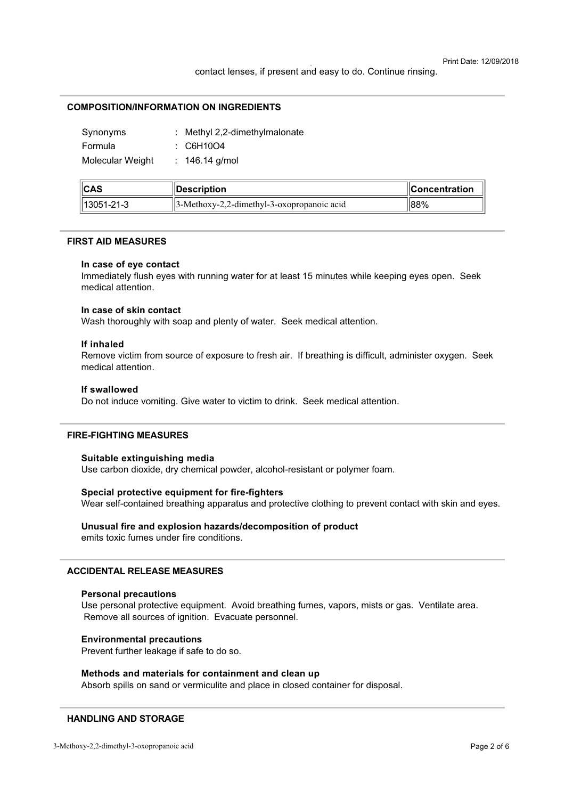## **COMPOSITION/INFORMATION ON INGREDIENTS**

| Synonyms         | : Methyl 2,2-dimethylmalonate |
|------------------|-------------------------------|
| Formula          | : C6H10O4                     |
| Molecular Weight | : $146.14$ g/mol              |

| ICAS                   | <b>∥Description</b>                            | $\blacksquare$ Concentration |
|------------------------|------------------------------------------------|------------------------------|
| $\parallel$ 13051-21-3 | $  3-Methoxy-2,2-dimethyl-3-oxopropanoic acid$ | 88%                          |

### **FIRST AID MEASURES**

## In case of eye contact

Immediately flush eves with running water for at least 15 minutes while keeping eves open. Seek medical attention

## In case of skin contact

Wash thoroughly with soap and plenty of water. Seek medical attention.

## If inhaled

Remove victim from source of exposure to fresh air. If breathing is difficult, administer oxygen. Seek medical attention.

## If swallowed

Do not induce vomiting. Give water to victim to drink. Seek medical attention.

## **FIRE-FIGHTING MEASURES**

#### Suitable extinguishing media

Use carbon dioxide, dry chemical powder, alcohol-resistant or polymer foam.

## Special protective equipment for fire-fighters

Wear self-contained breathing apparatus and protective clothing to prevent contact with skin and eyes.

## Unusual fire and explosion hazards/decomposition of product emits toxic fumes under fire conditions.

## **ACCIDENTAL RELEASE MEASURES**

#### **Personal precautions**

Use personal protective equipment. Avoid breathing fumes, vapors, mists or gas. Ventilate area. Remove all sources of ignition. Evacuate personnel.

## **Environmental precautions**

Prevent further leakage if safe to do so.

## Methods and materials for containment and clean up

Absorb spills on sand or vermiculite and place in closed container for disposal.

## **HANDLING AND STORAGE**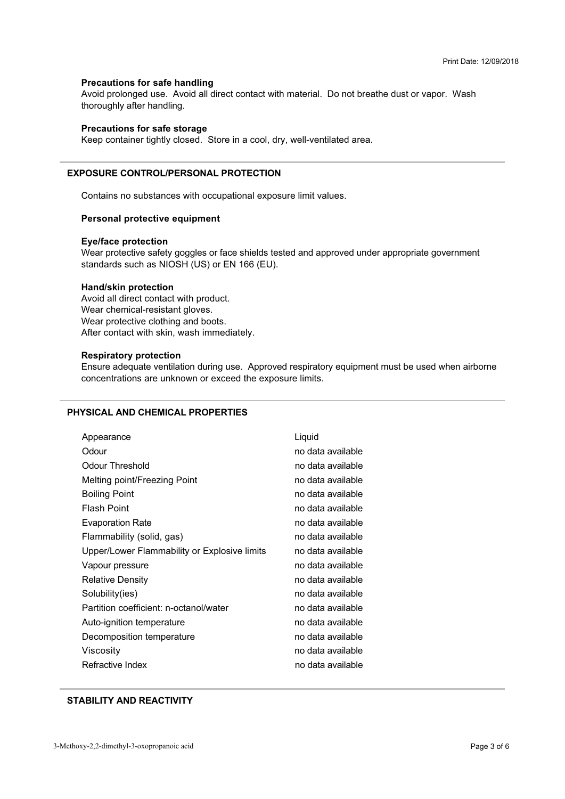## **Precautions for safe handling**

ment presenged deep in the all all experiments in the m Avoid prolonged use. Avoid all direct contact with material. Do not breathe dust or vapor. Wash  $\ldots$   $\ldots$   $\ldots$   $\ldots$   $\ldots$   $\ldots$   $\ldots$   $\ldots$   $\ldots$   $\ldots$   $\ldots$   $\ldots$   $\ldots$   $\ldots$   $\ldots$   $\ldots$   $\ldots$   $\ldots$   $\ldots$   $\ldots$   $\ldots$   $\ldots$   $\ldots$   $\ldots$   $\ldots$   $\ldots$   $\ldots$   $\ldots$   $\ldots$   $\ldots$   $\ldots$   $\ldots$   $\ldots$   $\ldots$   $\ldots$   $\ldots$   $\ldots$ 

## **Precautions for safe storage**

Keep container tightly closed. Store in a cool, dry, well-ventilated area.

## **EXPOSURE CONTROL/PERSONAL PROTECTION**

+

> 35
 3 ?3 
4

## **Personal protective equipment**

#### **Eye/face protection**

standards such as NIOSH (US) or EN 166 (EU). Wear protective safety goggles or face shields tested and approved under appropriate government

## **Hand/skin protection**

Avoid all direct contact with product.<br>Wear chemical-resistant gloves. Wear protective clothing and boy After contact with skin wash immer  $\sim$  460  $\mu$   $\sim$  460  $\mu$   $\sim$  460  $\mu$ 

## **Respiratory protection**

 $\frac{1}{2}$  concentrations are unknown or exceed the exposure limits 
 9>55
 3 4

## **PHYSICAL AND CHEMICAL PROPERTIES**

| Appearance                                   | Liquid            |
|----------------------------------------------|-------------------|
| Odour                                        | no data available |
| Odour Threshold                              | no data available |
| Melting point/Freezing Point                 | no data available |
| <b>Boiling Point</b>                         | no data available |
| <b>Flash Point</b>                           | no data available |
| <b>Evaporation Rate</b>                      | no data available |
| Flammability (solid, gas)                    | no data available |
| Upper/Lower Flammability or Explosive limits | no data available |
| Vapour pressure                              | no data available |
| <b>Relative Density</b>                      | no data available |
| Solubility(ies)                              | no data available |
| Partition coefficient: n-octanol/water       | no data available |
| Auto-ignition temperature                    | no data available |
| Decomposition temperature                    | no data available |
| Viscosity                                    | no data available |
| Refractive Index                             | no data available |

## **STABILITY AND REACTIVITY**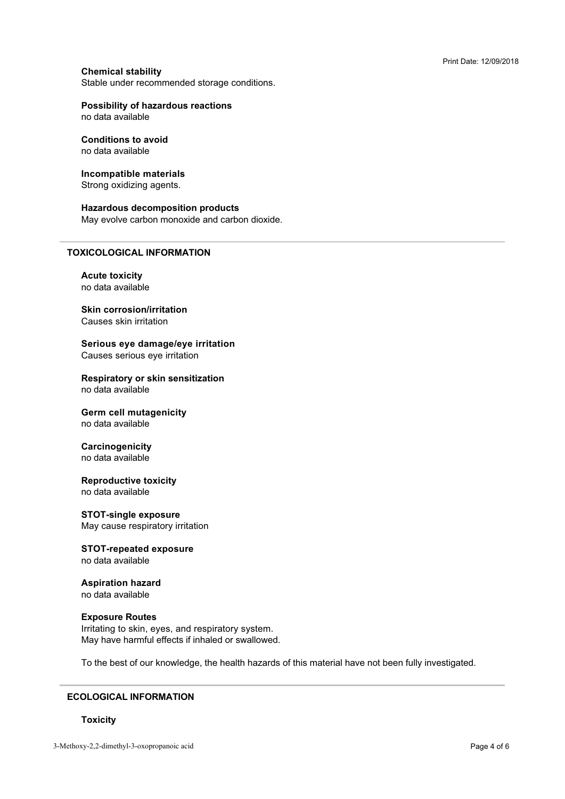## **Chemical stability**

Stable under recommended storage conditions.<br>'

## **Possibility of hazardous reactions**

# **Conditions to avoid**

## **Incompatible materials**

Strong oxidizing agents.

## **Hazardous decomposition products**

\* ?3? 554

## **TOXICOLOGICAL INFORMATION**

**Acute toxicity** no data available

## **Skin corrosion/irritation** Causes skin irritation

**Serious eve damage/eve irritation** Causes serious eye irritation

**Respiratory or skin sensitization** no data available

## **Germ cell mutagenicity**

no data available

## **Carcinogenicity**

## **Reproductive toxicity**

## **STOT-single exposure**

May cause respiratory irritation

## **STOT-repeated exposure** no data available

## **Aspiration hazard** no data available

## **Exposure Routes**

May have harmful effects if inhaled or swallowe \* ?

 9>363= 3. 33 **33 33 43 43 43 43 43 44** 5

## **ECOLOGICAL INFORMATION**

## **Toxicity**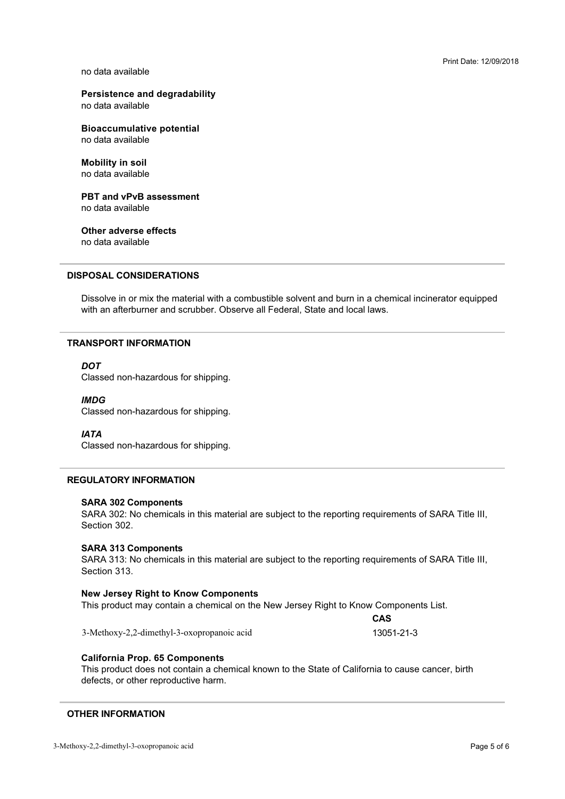## **Persistence and degradability**

**Bioaccumulative potential** 

**Mobility in soil** no data available

**PBT and vPvB assessment** 

**Other adverse effects** no data available

## **DISPOSAL CONSIDERATIONS**

with an afterburner and scrubber. Observe all Federal, State and local laws. 3F 

## **TRANSPORT INFORMATION**

## **DOT**

Classed non-hazardous for shipping.

## **IMDG**

Classed non-hazardous for shipping.

## **IATA**

Classed non-hazardous for shipping.

## **REGULATORY INFORMATION**

## **SARA 302 Components**

SARA 302: No chemicals in this material are subject to the reporting requirements of SARA Title III,<br>Section 302 Section 302.

## **SARA 313 Components**

SARA 313: No chemicals in this material are subject to the reporting requirements of SARA Title III,<br>Section 313 Section 313

## **New Jersey Right to Know Components**

 3>J
 0B>+ A
4

3-Methoxy-2.2-dimethyl-3-oxopropanoic acid

13051-21-3

CAS

## **California Prop. 65 Components**

defects, or other reproductive harm. This product does not contain a chemical known to the State of California to cause cancer, birth  $\mathbb{R}$  for  $\mathbb{R}$  and  $\mathbb{R}$  is the set of  $\mathbb{R}$ 

## **OTHER INFORMATION**